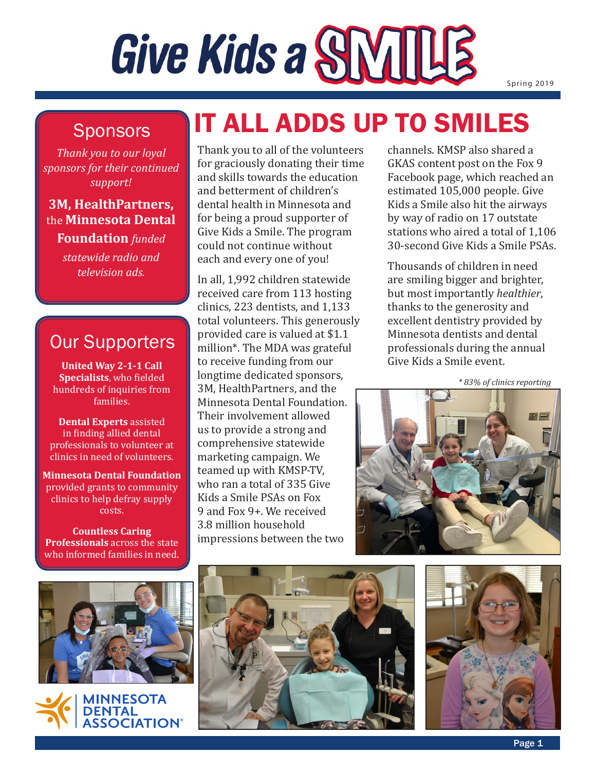# Give Kids a SNIILLE

Spring 2019

### **Sponsors**

*Thank you to our loyal sponsors for their continued support!*

### **3M, HealthPartners,**  the **Minnesota Dental**

**Foundation** *funded statewide radio and television ads.*

### Our Supporters

**United Way 2-1-1 Call Specialists**, who fielded hundreds of inquiries from families.

**Dental Experts** assisted in finding allied dental professionals to volunteer at clinics in need of volunteers.

**Minnesota Dental Foundation** provided grants to community clinics to help defray supply costs.

**Countless Caring Professionals** across the state who informed families in need.

# IT ALL ADDS UP TO SMILES

Thank you to all of the volunteers for graciously donating their time and skills towards the education and betterment of children's dental health in Minnesota and for being a proud supporter of Give Kids a Smile. The program could not continue without each and every one of you!

In all, 1,992 children statewide received care from 113 hosting clinics, 223 dentists, and 1,133 total volunteers. This generously provided care is valued at \$1.1 million\*. The MDA was grateful to receive funding from our longtime dedicated sponsors, 3M, HealthPartners, and the Minnesota Dental Foundation. Their involvement allowed us to provide a strong and comprehensive statewide marketing campaign. We teamed up with KMSP-TV, who ran a total of 335 Give Kids a Smile PSAs on Fox 9 and Fox 9+. We received 3.8 million household impressions between the two

channels. KMSP also shared a GKAS content post on the Fox 9 Facebook page, which reached an estimated 105,000 people. Give Kids a Smile also hit the airways by way of radio on 17 outstate stations who aired a total of 1,106 30-second Give Kids a Smile PSAs.

Thousands of children in need are smiling bigger and brighter, but most importantly *healthier*, thanks to the generosity and excellent dentistry provided by Minnesota dentists and dental professionals during the annual Give Kids a Smile event.

*\* 83% of clinics reporting*